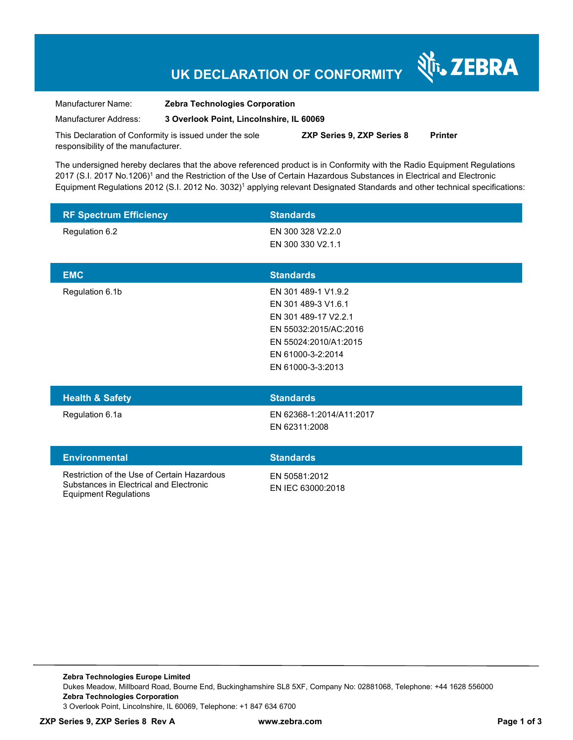# **UK DECLARATION OF CONFORMITY**

र्शे<sub>ि</sub> ZEBRA

Manufacturer Name: **Zebra Technologies Corporation**  Manufacturer Address: **3 Overlook Point, Lincolnshire, IL 60069** 

This Declaration of Conformity is issued under the sole responsibility of the manufacturer. **ZXP Series 9, ZXP Series 8 Printer** 

The undersigned hereby declares that the above referenced product is in Conformity with the Radio Equipment Regulations 2017 (S.I. 2017 No.1206)<sup>1</sup> and the Restriction of the Use of Certain Hazardous Substances in Electrical and Electronic Equipment Regulations 2012 (S.I. 2012 No. 3032)<sup>1</sup> applying relevant Designated Standards and other technical specifications:

| <b>RF Spectrum Efficiency</b>                                                                                          | <b>Standards</b>                                                                                                                                               |
|------------------------------------------------------------------------------------------------------------------------|----------------------------------------------------------------------------------------------------------------------------------------------------------------|
| Regulation 6.2                                                                                                         | EN 300 328 V2.2.0<br>EN 300 330 V2.1.1                                                                                                                         |
| <b>EMC</b>                                                                                                             | <b>Standards</b>                                                                                                                                               |
| Regulation 6.1b                                                                                                        | EN 301 489-1 V1.9.2<br>EN 301 489-3 V1.6.1<br>EN 301 489-17 V2.2.1<br>EN 55032:2015/AC:2016<br>EN 55024:2010/A1:2015<br>EN 61000-3-2:2014<br>EN 61000-3-3:2013 |
| <b>Health &amp; Safety</b>                                                                                             | <b>Standards</b>                                                                                                                                               |
| Regulation 6.1a                                                                                                        | EN 62368-1:2014/A11:2017<br>EN 62311:2008                                                                                                                      |
| <b>Environmental</b>                                                                                                   | <b>Standards</b>                                                                                                                                               |
| Restriction of the Use of Certain Hazardous<br>Substances in Electrical and Electronic<br><b>Equipment Regulations</b> | EN 50581:2012<br>EN IEC 63000:2018                                                                                                                             |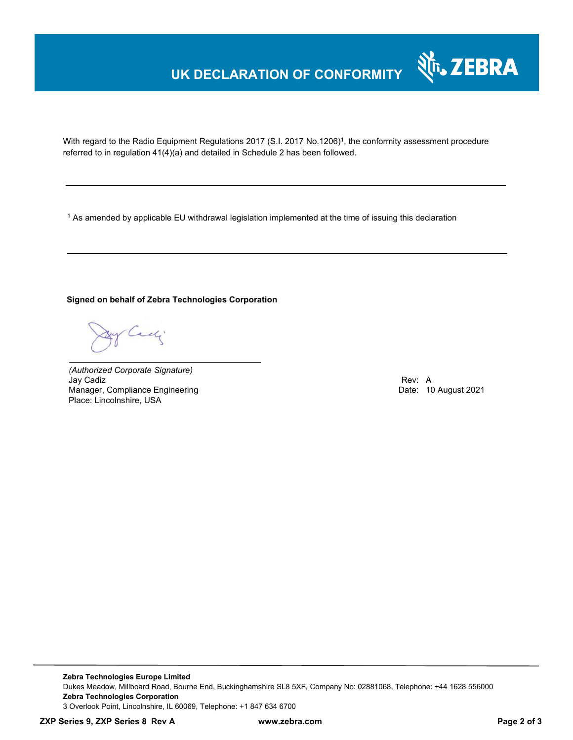# **UK DECLARATION OF CONFORMITY**



With regard to the Radio Equipment Regulations 2017 (S.I. 2017 No.1206)<sup>1</sup>, the conformity assessment procedure referred to in regulation 41(4)(a) and detailed in Schedule 2 has been followed.

 $^{\rm 1}$  As amended by applicable EU withdrawal legislation implemented at the time of issuing this declaration

**Signed on behalf of Zebra Technologies Corporation** 

By Cady

*(Authorized Corporate Signature)* Jay Cadiz Rev: A Manager, Compliance Engineering **Date: 10 August 2021** Place: Lincolnshire, USA